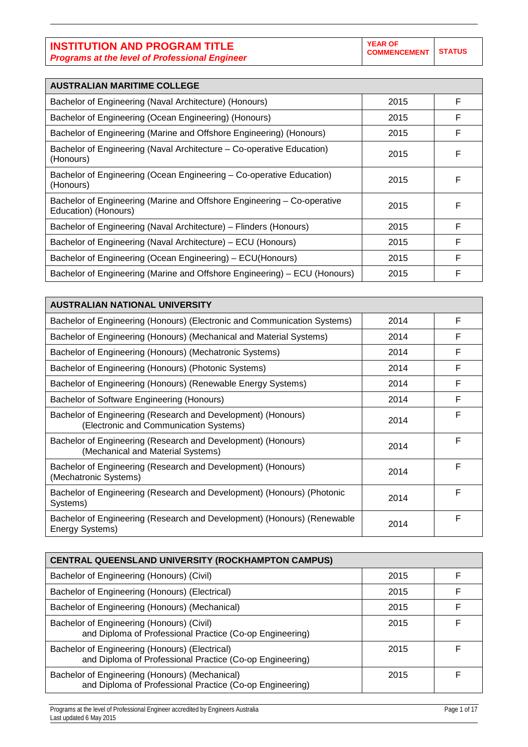| <b>AUSTRALIAN MARITIME COLLEGE</b>                                                              |      |   |
|-------------------------------------------------------------------------------------------------|------|---|
| Bachelor of Engineering (Naval Architecture) (Honours)                                          | 2015 | F |
| Bachelor of Engineering (Ocean Engineering) (Honours)                                           | 2015 | F |
| Bachelor of Engineering (Marine and Offshore Engineering) (Honours)                             | 2015 | F |
| Bachelor of Engineering (Naval Architecture – Co-operative Education)<br>(Honours)              | 2015 | F |
| Bachelor of Engineering (Ocean Engineering – Co-operative Education)<br>(Honours)               | 2015 | F |
| Bachelor of Engineering (Marine and Offshore Engineering – Co-operative<br>Education) (Honours) | 2015 | F |
| Bachelor of Engineering (Naval Architecture) – Flinders (Honours)                               | 2015 | F |
| Bachelor of Engineering (Naval Architecture) – ECU (Honours)                                    | 2015 | F |
| Bachelor of Engineering (Ocean Engineering) – ECU(Honours)                                      | 2015 | F |
| Bachelor of Engineering (Marine and Offshore Engineering) - ECU (Honours)                       | 2015 | F |

| <b>AUSTRALIAN NATIONAL UNIVERSITY</b>                                                                  |      |   |
|--------------------------------------------------------------------------------------------------------|------|---|
| Bachelor of Engineering (Honours) (Electronic and Communication Systems)                               | 2014 | F |
| Bachelor of Engineering (Honours) (Mechanical and Material Systems)                                    | 2014 | F |
| Bachelor of Engineering (Honours) (Mechatronic Systems)                                                | 2014 | F |
| Bachelor of Engineering (Honours) (Photonic Systems)                                                   | 2014 | F |
| Bachelor of Engineering (Honours) (Renewable Energy Systems)                                           | 2014 | F |
| Bachelor of Software Engineering (Honours)                                                             | 2014 | F |
| Bachelor of Engineering (Research and Development) (Honours)<br>(Electronic and Communication Systems) | 2014 | F |
| Bachelor of Engineering (Research and Development) (Honours)<br>(Mechanical and Material Systems)      | 2014 | F |
| Bachelor of Engineering (Research and Development) (Honours)<br>(Mechatronic Systems)                  | 2014 | F |
| Bachelor of Engineering (Research and Development) (Honours) (Photonic<br>Systems)                     | 2014 | F |
| Bachelor of Engineering (Research and Development) (Honours) (Renewable<br>Energy Systems)             | 2014 | F |

| <b>CENTRAL QUEENSLAND UNIVERSITY (ROCKHAMPTON CAMPUS)</b>                                                  |      |   |
|------------------------------------------------------------------------------------------------------------|------|---|
| Bachelor of Engineering (Honours) (Civil)                                                                  | 2015 | F |
| Bachelor of Engineering (Honours) (Electrical)                                                             | 2015 | F |
| Bachelor of Engineering (Honours) (Mechanical)                                                             | 2015 | F |
| Bachelor of Engineering (Honours) (Civil)<br>and Diploma of Professional Practice (Co-op Engineering)      | 2015 | F |
| Bachelor of Engineering (Honours) (Electrical)<br>and Diploma of Professional Practice (Co-op Engineering) | 2015 | F |
| Bachelor of Engineering (Honours) (Mechanical)<br>and Diploma of Professional Practice (Co-op Engineering) | 2015 | F |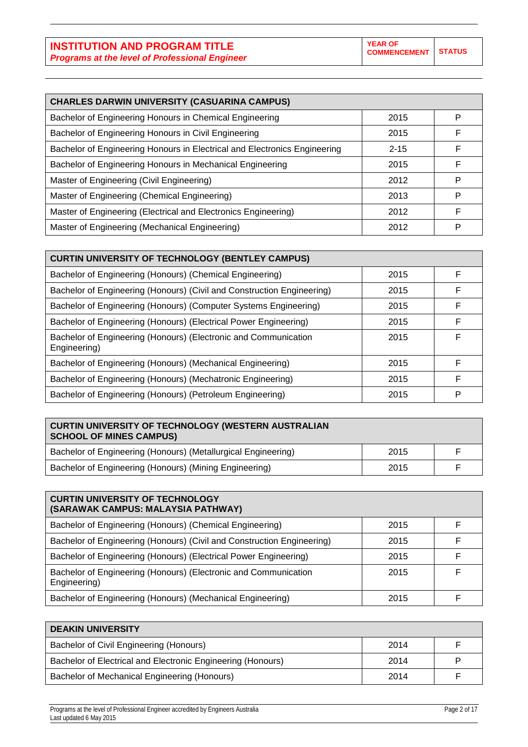|  | × | . . |  |
|--|---|-----|--|
|  |   | ۰.  |  |

| <b>CHARLES DARWIN UNIVERSITY (CASUARINA CAMPUS)</b>                       |          |   |  |
|---------------------------------------------------------------------------|----------|---|--|
| Bachelor of Engineering Honours in Chemical Engineering                   | 2015     | P |  |
| Bachelor of Engineering Honours in Civil Engineering                      | 2015     | F |  |
| Bachelor of Engineering Honours in Electrical and Electronics Engineering | $2 - 15$ | E |  |
| Bachelor of Engineering Honours in Mechanical Engineering                 | 2015     | F |  |
| Master of Engineering (Civil Engineering)                                 | 2012     | P |  |
| Master of Engineering (Chemical Engineering)                              | 2013     | P |  |
| Master of Engineering (Electrical and Electronics Engineering)            | 2012     | F |  |
| Master of Engineering (Mechanical Engineering)                            | 2012     | Р |  |

| <b>CURTIN UNIVERSITY OF TECHNOLOGY (BENTLEY CAMPUS)</b>                         |      |   |
|---------------------------------------------------------------------------------|------|---|
| Bachelor of Engineering (Honours) (Chemical Engineering)                        | 2015 | F |
| Bachelor of Engineering (Honours) (Civil and Construction Engineering)          | 2015 | F |
| Bachelor of Engineering (Honours) (Computer Systems Engineering)                | 2015 | F |
| Bachelor of Engineering (Honours) (Electrical Power Engineering)                | 2015 | F |
| Bachelor of Engineering (Honours) (Electronic and Communication<br>Engineering) | 2015 | F |
| Bachelor of Engineering (Honours) (Mechanical Engineering)                      | 2015 | F |
| Bachelor of Engineering (Honours) (Mechatronic Engineering)                     | 2015 | F |
| Bachelor of Engineering (Honours) (Petroleum Engineering)                       | 2015 | P |

| <b>CURTIN UNIVERSITY OF TECHNOLOGY (WESTERN AUSTRALIAN</b><br><b>SCHOOL OF MINES CAMPUS)</b> |      |  |
|----------------------------------------------------------------------------------------------|------|--|
| Bachelor of Engineering (Honours) (Metallurgical Engineering)                                | 2015 |  |
| Bachelor of Engineering (Honours) (Mining Engineering)                                       | 2015 |  |

| <b>CURTIN UNIVERSITY OF TECHNOLOGY</b><br>(SARAWAK CAMPUS: MALAYSIA PATHWAY)    |      |   |
|---------------------------------------------------------------------------------|------|---|
| Bachelor of Engineering (Honours) (Chemical Engineering)                        | 2015 |   |
| Bachelor of Engineering (Honours) (Civil and Construction Engineering)          | 2015 |   |
| Bachelor of Engineering (Honours) (Electrical Power Engineering)                | 2015 |   |
| Bachelor of Engineering (Honours) (Electronic and Communication<br>Engineering) | 2015 | E |
| Bachelor of Engineering (Honours) (Mechanical Engineering)                      | 2015 |   |

| <b>DEAKIN UNIVERSITY</b>                                    |      |  |
|-------------------------------------------------------------|------|--|
| Bachelor of Civil Engineering (Honours)                     | 2014 |  |
| Bachelor of Electrical and Electronic Engineering (Honours) | 2014 |  |
| Bachelor of Mechanical Engineering (Honours)                | 2014 |  |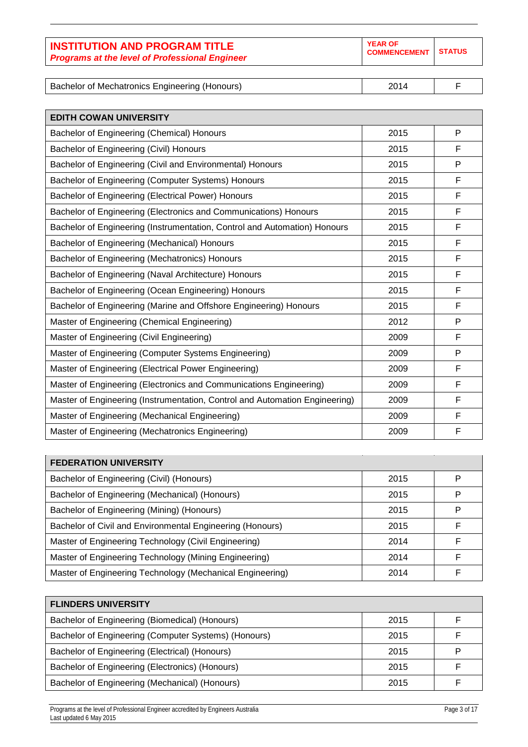| <b>INSTITUTION AND PROGRAM TITLE</b><br><b>Programs at the level of Professional Engineer</b> | <b>YEAR OF</b><br><b>COMMENCEMENT STATUS</b> |  |
|-----------------------------------------------------------------------------------------------|----------------------------------------------|--|
|                                                                                               |                                              |  |

Bachelor of Mechatronics Engineering (Honours) 2014 | F

| <b>EDITH COWAN UNIVERSITY</b>                                               |      |   |
|-----------------------------------------------------------------------------|------|---|
| Bachelor of Engineering (Chemical) Honours                                  | 2015 | P |
| Bachelor of Engineering (Civil) Honours                                     | 2015 | F |
| Bachelor of Engineering (Civil and Environmental) Honours                   | 2015 | P |
| Bachelor of Engineering (Computer Systems) Honours                          | 2015 | F |
| Bachelor of Engineering (Electrical Power) Honours                          | 2015 | F |
| Bachelor of Engineering (Electronics and Communications) Honours            | 2015 | F |
| Bachelor of Engineering (Instrumentation, Control and Automation) Honours   | 2015 | F |
| Bachelor of Engineering (Mechanical) Honours                                | 2015 | F |
| Bachelor of Engineering (Mechatronics) Honours                              | 2015 | F |
| Bachelor of Engineering (Naval Architecture) Honours                        | 2015 | F |
| Bachelor of Engineering (Ocean Engineering) Honours                         | 2015 | F |
| Bachelor of Engineering (Marine and Offshore Engineering) Honours           | 2015 | F |
| Master of Engineering (Chemical Engineering)                                | 2012 | P |
| Master of Engineering (Civil Engineering)                                   | 2009 | F |
| Master of Engineering (Computer Systems Engineering)                        | 2009 | P |
| Master of Engineering (Electrical Power Engineering)                        | 2009 | F |
| Master of Engineering (Electronics and Communications Engineering)          | 2009 | F |
| Master of Engineering (Instrumentation, Control and Automation Engineering) | 2009 | F |
| Master of Engineering (Mechanical Engineering)                              | 2009 | F |
| Master of Engineering (Mechatronics Engineering)                            | 2009 | F |

| <b>FEDERATION UNIVERSITY</b>                              |      |   |
|-----------------------------------------------------------|------|---|
| Bachelor of Engineering (Civil) (Honours)                 | 2015 | P |
| Bachelor of Engineering (Mechanical) (Honours)            | 2015 | P |
| Bachelor of Engineering (Mining) (Honours)                | 2015 | P |
| Bachelor of Civil and Environmental Engineering (Honours) | 2015 | F |
| Master of Engineering Technology (Civil Engineering)      | 2014 | F |
| Master of Engineering Technology (Mining Engineering)     | 2014 | F |
| Master of Engineering Technology (Mechanical Engineering) | 2014 |   |

| <b>FLINDERS UNIVERSITY</b>                           |      |  |
|------------------------------------------------------|------|--|
| Bachelor of Engineering (Biomedical) (Honours)       | 2015 |  |
| Bachelor of Engineering (Computer Systems) (Honours) | 2015 |  |
| Bachelor of Engineering (Electrical) (Honours)       | 2015 |  |
| Bachelor of Engineering (Electronics) (Honours)      | 2015 |  |
| Bachelor of Engineering (Mechanical) (Honours)       | 2015 |  |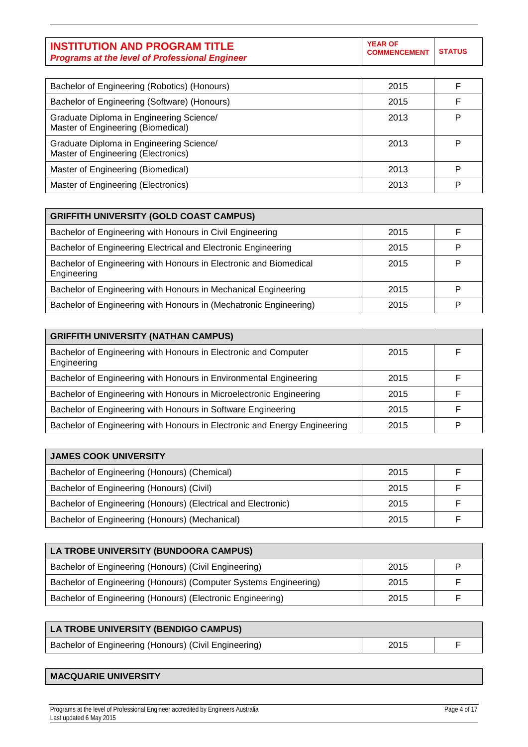| <b>INSTITUTION AND PROGRAM TITLE</b>                  | <b>YEAR OF</b><br>COMMENCEMENT STATUS |  |
|-------------------------------------------------------|---------------------------------------|--|
| <b>Programs at the level of Professional Engineer</b> |                                       |  |

| Bachelor of Engineering (Robotics) (Honours)                                    | 2015 |   |
|---------------------------------------------------------------------------------|------|---|
| Bachelor of Engineering (Software) (Honours)                                    | 2015 |   |
| Graduate Diploma in Engineering Science/<br>Master of Engineering (Biomedical)  | 2013 | P |
| Graduate Diploma in Engineering Science/<br>Master of Engineering (Electronics) | 2013 | P |
| Master of Engineering (Biomedical)                                              | 2013 | P |
| Master of Engineering (Electronics)                                             | 2013 | Þ |

| <b>GRIFFITH UNIVERSITY (GOLD COAST CAMPUS)</b>                                   |      |  |
|----------------------------------------------------------------------------------|------|--|
| Bachelor of Engineering with Honours in Civil Engineering                        | 2015 |  |
| Bachelor of Engineering Electrical and Electronic Engineering                    | 2015 |  |
| Bachelor of Engineering with Honours in Electronic and Biomedical<br>Engineering | 2015 |  |
| Bachelor of Engineering with Honours in Mechanical Engineering                   | 2015 |  |
| Bachelor of Engineering with Honours in (Mechatronic Engineering)                | 2015 |  |

| <b>GRIFFITH UNIVERSITY (NATHAN CAMPUS)</b>                                     |      |  |
|--------------------------------------------------------------------------------|------|--|
| Bachelor of Engineering with Honours in Electronic and Computer<br>Engineering | 2015 |  |
| Bachelor of Engineering with Honours in Environmental Engineering              | 2015 |  |
| Bachelor of Engineering with Honours in Microelectronic Engineering            | 2015 |  |
| Bachelor of Engineering with Honours in Software Engineering                   | 2015 |  |
| Bachelor of Engineering with Honours in Electronic and Energy Engineering      | 2015 |  |

| <b>JAMES COOK UNIVERSITY</b>                                  |      |  |
|---------------------------------------------------------------|------|--|
| Bachelor of Engineering (Honours) (Chemical)                  | 2015 |  |
| Bachelor of Engineering (Honours) (Civil)                     | 2015 |  |
| Bachelor of Engineering (Honours) (Electrical and Electronic) | 2015 |  |
| Bachelor of Engineering (Honours) (Mechanical)                | 2015 |  |

| LA TROBE UNIVERSITY (BUNDOORA CAMPUS)                            |      |   |
|------------------------------------------------------------------|------|---|
| Bachelor of Engineering (Honours) (Civil Engineering)            | 2015 | P |
| Bachelor of Engineering (Honours) (Computer Systems Engineering) | 2015 |   |
| Bachelor of Engineering (Honours) (Electronic Engineering)       | 2015 |   |

| LA TROBE UNIVERSITY (BENDIGO CAMPUS)                  |      |  |
|-------------------------------------------------------|------|--|
| Bachelor of Engineering (Honours) (Civil Engineering) | 2015 |  |

## **MACQUARIE UNIVERSITY**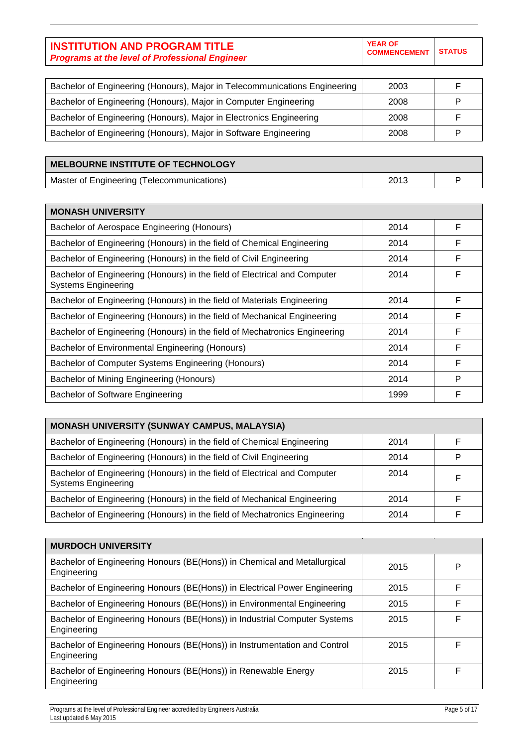**COMMENCEMENT STATUS**

| Bachelor of Engineering (Honours), Major in Telecommunications Engineering | 2003 |  |
|----------------------------------------------------------------------------|------|--|
| Bachelor of Engineering (Honours), Major in Computer Engineering           | 2008 |  |
| Bachelor of Engineering (Honours), Major in Electronics Engineering        | 2008 |  |
| Bachelor of Engineering (Honours), Major in Software Engineering           | 2008 |  |

## **MELBOURNE INSTITUTE OF TECHNOLOGY**

Master of Engineering (Telecommunications) and the control of Engineering (Telecommunications) and the control of the control of the P

| <b>MONASH UNIVERSITY</b>                                                                                |      |   |
|---------------------------------------------------------------------------------------------------------|------|---|
| Bachelor of Aerospace Engineering (Honours)                                                             | 2014 | F |
| Bachelor of Engineering (Honours) in the field of Chemical Engineering                                  | 2014 | F |
| Bachelor of Engineering (Honours) in the field of Civil Engineering                                     | 2014 | F |
| Bachelor of Engineering (Honours) in the field of Electrical and Computer<br><b>Systems Engineering</b> | 2014 | F |
| Bachelor of Engineering (Honours) in the field of Materials Engineering                                 | 2014 | F |
| Bachelor of Engineering (Honours) in the field of Mechanical Engineering                                | 2014 | F |
| Bachelor of Engineering (Honours) in the field of Mechatronics Engineering                              | 2014 | F |
| Bachelor of Environmental Engineering (Honours)                                                         | 2014 | F |
| Bachelor of Computer Systems Engineering (Honours)                                                      | 2014 | F |
| Bachelor of Mining Engineering (Honours)                                                                | 2014 | P |
| Bachelor of Software Engineering                                                                        | 1999 | F |

| <b>MONASH UNIVERSITY (SUNWAY CAMPUS, MALAYSIA)</b>                                                      |      |   |
|---------------------------------------------------------------------------------------------------------|------|---|
| Bachelor of Engineering (Honours) in the field of Chemical Engineering                                  | 2014 |   |
| Bachelor of Engineering (Honours) in the field of Civil Engineering                                     | 2014 | P |
| Bachelor of Engineering (Honours) in the field of Electrical and Computer<br><b>Systems Engineering</b> | 2014 | F |
| Bachelor of Engineering (Honours) in the field of Mechanical Engineering                                | 2014 |   |
| Bachelor of Engineering (Honours) in the field of Mechatronics Engineering                              | 2014 |   |

| <b>MURDOCH UNIVERSITY</b>                                                                |      |   |
|------------------------------------------------------------------------------------------|------|---|
| Bachelor of Engineering Honours (BE(Hons)) in Chemical and Metallurgical<br>Engineering  | 2015 | P |
| Bachelor of Engineering Honours (BE(Hons)) in Electrical Power Engineering               | 2015 | F |
| Bachelor of Engineering Honours (BE(Hons)) in Environmental Engineering                  | 2015 | F |
| Bachelor of Engineering Honours (BE(Hons)) in Industrial Computer Systems<br>Engineering | 2015 | F |
| Bachelor of Engineering Honours (BE(Hons)) in Instrumentation and Control<br>Engineering | 2015 | F |
| Bachelor of Engineering Honours (BE(Hons)) in Renewable Energy<br>Engineering            | 2015 | F |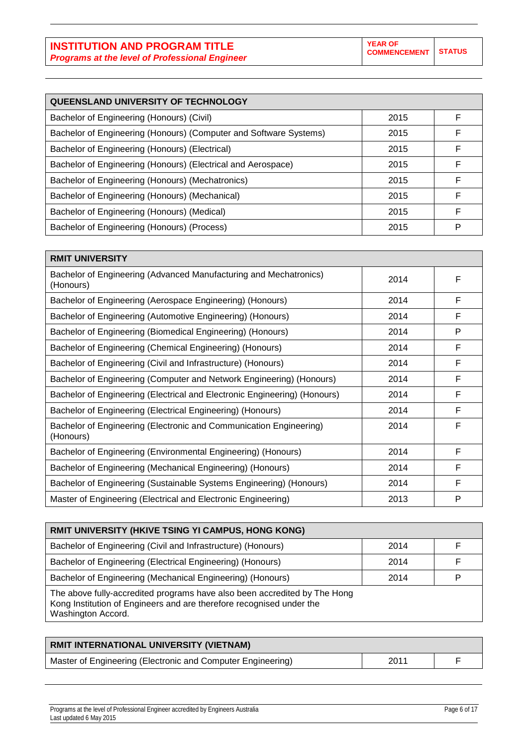**YEAR OF COMMENCEMENT** 

| $\sim$<br>$\sim$<br>$\sim$ |  |
|----------------------------|--|

| QUEENSLAND UNIVERSITY OF TECHNOLOGY                               |      |   |
|-------------------------------------------------------------------|------|---|
| Bachelor of Engineering (Honours) (Civil)                         | 2015 | F |
| Bachelor of Engineering (Honours) (Computer and Software Systems) | 2015 | F |
| Bachelor of Engineering (Honours) (Electrical)                    | 2015 | F |
| Bachelor of Engineering (Honours) (Electrical and Aerospace)      | 2015 | F |
| Bachelor of Engineering (Honours) (Mechatronics)                  | 2015 | F |
| Bachelor of Engineering (Honours) (Mechanical)                    | 2015 | F |
| Bachelor of Engineering (Honours) (Medical)                       | 2015 | F |
| Bachelor of Engineering (Honours) (Process)                       | 2015 | P |

| <b>RMIT UNIVERSITY</b>                                                          |      |   |
|---------------------------------------------------------------------------------|------|---|
| Bachelor of Engineering (Advanced Manufacturing and Mechatronics)<br>(Honours)  | 2014 | F |
| Bachelor of Engineering (Aerospace Engineering) (Honours)                       | 2014 | F |
| Bachelor of Engineering (Automotive Engineering) (Honours)                      | 2014 | F |
| Bachelor of Engineering (Biomedical Engineering) (Honours)                      | 2014 | P |
| Bachelor of Engineering (Chemical Engineering) (Honours)                        | 2014 | F |
| Bachelor of Engineering (Civil and Infrastructure) (Honours)                    | 2014 | F |
| Bachelor of Engineering (Computer and Network Engineering) (Honours)            | 2014 | F |
| Bachelor of Engineering (Electrical and Electronic Engineering) (Honours)       | 2014 | F |
| Bachelor of Engineering (Electrical Engineering) (Honours)                      | 2014 | F |
| Bachelor of Engineering (Electronic and Communication Engineering)<br>(Honours) | 2014 | F |
| Bachelor of Engineering (Environmental Engineering) (Honours)                   | 2014 | F |
| Bachelor of Engineering (Mechanical Engineering) (Honours)                      | 2014 | F |
| Bachelor of Engineering (Sustainable Systems Engineering) (Honours)             | 2014 | F |
| Master of Engineering (Electrical and Electronic Engineering)                   | 2013 | P |

| RMIT UNIVERSITY (HKIVE TSING YI CAMPUS, HONG KONG)                                                                                                                      |      |   |
|-------------------------------------------------------------------------------------------------------------------------------------------------------------------------|------|---|
| Bachelor of Engineering (Civil and Infrastructure) (Honours)                                                                                                            | 2014 |   |
| Bachelor of Engineering (Electrical Engineering) (Honours)                                                                                                              | 2014 |   |
| Bachelor of Engineering (Mechanical Engineering) (Honours)                                                                                                              | 2014 | D |
| The above fully-accredited programs have also been accredited by The Hong<br>Kong Institution of Engineers and are therefore recognised under the<br>Washington Accord. |      |   |

# **RMIT INTERNATIONAL UNIVERSITY (VIETNAM)** Master of Engineering (Electronic and Computer Engineering)  $\vert$  2011 F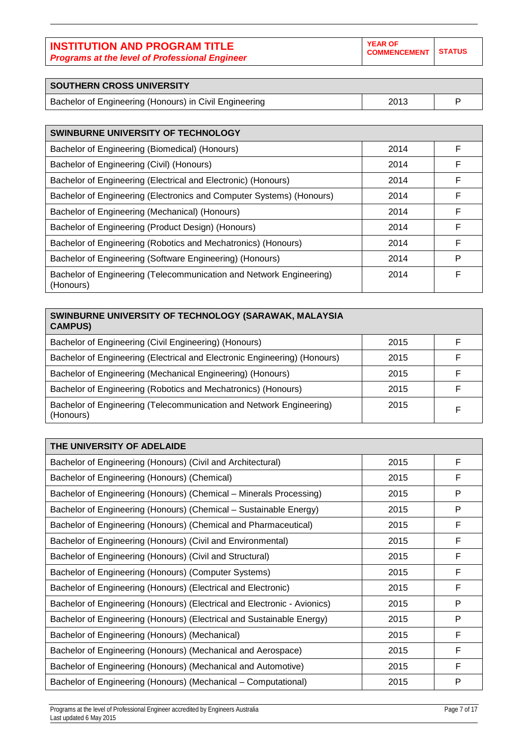| <b>INSTITUTION AND PROGRAM TITLE</b>                  |
|-------------------------------------------------------|
| <b>Programs at the level of Professional Engineer</b> |

| <b>SOUTHERN CROSS UNIVERSITY</b>                       |      |  |
|--------------------------------------------------------|------|--|
| Bachelor of Engineering (Honours) in Civil Engineering | 2013 |  |

| <b>SWINBURNE UNIVERSITY OF TECHNOLOGY</b>                                        |      |   |
|----------------------------------------------------------------------------------|------|---|
| Bachelor of Engineering (Biomedical) (Honours)                                   | 2014 | F |
| Bachelor of Engineering (Civil) (Honours)                                        | 2014 | F |
| Bachelor of Engineering (Electrical and Electronic) (Honours)                    | 2014 | F |
| Bachelor of Engineering (Electronics and Computer Systems) (Honours)             | 2014 | F |
| Bachelor of Engineering (Mechanical) (Honours)                                   | 2014 | F |
| Bachelor of Engineering (Product Design) (Honours)                               | 2014 | F |
| Bachelor of Engineering (Robotics and Mechatronics) (Honours)                    | 2014 | F |
| Bachelor of Engineering (Software Engineering) (Honours)                         | 2014 | P |
| Bachelor of Engineering (Telecommunication and Network Engineering)<br>(Honours) | 2014 | F |

| SWINBURNE UNIVERSITY OF TECHNOLOGY (SARAWAK, MALAYSIA<br><b>CAMPUS)</b>          |      |   |
|----------------------------------------------------------------------------------|------|---|
| Bachelor of Engineering (Civil Engineering) (Honours)                            | 2015 |   |
| Bachelor of Engineering (Electrical and Electronic Engineering) (Honours)        | 2015 | F |
| Bachelor of Engineering (Mechanical Engineering) (Honours)                       | 2015 | F |
| Bachelor of Engineering (Robotics and Mechatronics) (Honours)                    | 2015 | F |
| Bachelor of Engineering (Telecommunication and Network Engineering)<br>(Honours) | 2015 | F |

| THE UNIVERSITY OF ADELAIDE                                               |      |   |
|--------------------------------------------------------------------------|------|---|
| Bachelor of Engineering (Honours) (Civil and Architectural)              | 2015 | F |
| Bachelor of Engineering (Honours) (Chemical)                             | 2015 | F |
| Bachelor of Engineering (Honours) (Chemical – Minerals Processing)       | 2015 | P |
| Bachelor of Engineering (Honours) (Chemical – Sustainable Energy)        | 2015 | P |
| Bachelor of Engineering (Honours) (Chemical and Pharmaceutical)          | 2015 | F |
| Bachelor of Engineering (Honours) (Civil and Environmental)              | 2015 | F |
| Bachelor of Engineering (Honours) (Civil and Structural)                 | 2015 | F |
| Bachelor of Engineering (Honours) (Computer Systems)                     | 2015 | F |
| Bachelor of Engineering (Honours) (Electrical and Electronic)            | 2015 | F |
| Bachelor of Engineering (Honours) (Electrical and Electronic - Avionics) | 2015 | P |
| Bachelor of Engineering (Honours) (Electrical and Sustainable Energy)    | 2015 | P |
| Bachelor of Engineering (Honours) (Mechanical)                           | 2015 | F |
| Bachelor of Engineering (Honours) (Mechanical and Aerospace)             | 2015 | F |
| Bachelor of Engineering (Honours) (Mechanical and Automotive)            | 2015 | F |
| Bachelor of Engineering (Honours) (Mechanical – Computational)           | 2015 | P |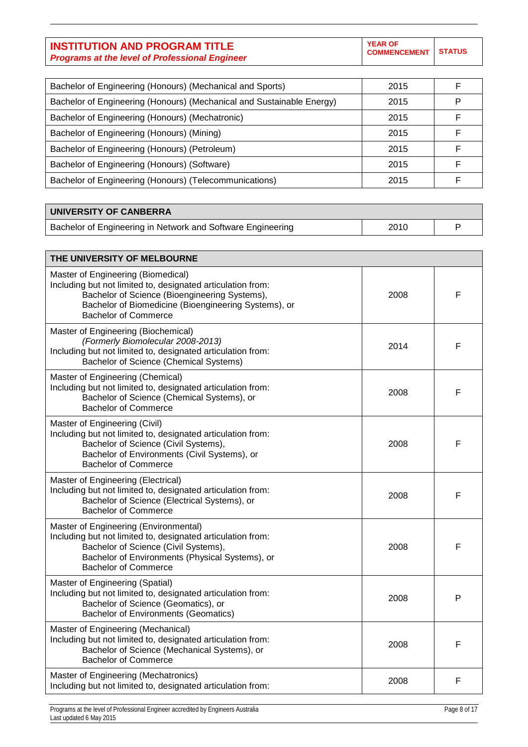**YEAR OF COMMENCEMENT STATUS**

| Bachelor of Engineering (Honours) (Mechanical and Sports)             | 2015 |  |
|-----------------------------------------------------------------------|------|--|
| Bachelor of Engineering (Honours) (Mechanical and Sustainable Energy) | 2015 |  |
| Bachelor of Engineering (Honours) (Mechatronic)                       | 2015 |  |
| Bachelor of Engineering (Honours) (Mining)                            | 2015 |  |
| Bachelor of Engineering (Honours) (Petroleum)                         | 2015 |  |
| Bachelor of Engineering (Honours) (Software)                          | 2015 |  |
| Bachelor of Engineering (Honours) (Telecommunications)                | 2015 |  |

#### **UNIVERSITY OF CANBERRA**

Bachelor of Engineering in Network and Software Engineering Fig. 1 2010 P

**THE UNIVERSITY OF MELBOURNE** Master of Engineering (Biomedical) Including but not limited to, designated articulation from: Bachelor of Science (Bioengineering Systems), Bachelor of Biomedicine (Bioengineering Systems), or Bachelor of Commerce 2008 F Master of Engineering (Biochemical) *(Formerly Biomolecular 2008-2013)* Including but not limited to, designated articulation from: Bachelor of Science (Chemical Systems) 2014 F Master of Engineering (Chemical) Including but not limited to, designated articulation from: Bachelor of Science (Chemical Systems), or Bachelor of Commerce 2008 F Master of Engineering (Civil) Including but not limited to, designated articulation from: Bachelor of Science (Civil Systems), Bachelor of Environments (Civil Systems), or Bachelor of Commerce 2008 F Master of Engineering (Electrical) Including but not limited to, designated articulation from: Bachelor of Science (Electrical Systems), or Bachelor of Commerce 2008 F Master of Engineering (Environmental) Including but not limited to, designated articulation from: Bachelor of Science (Civil Systems), Bachelor of Environments (Physical Systems), or Bachelor of Commerce 2008 F Master of Engineering (Spatial) Including but not limited to, designated articulation from: Bachelor of Science (Geomatics), or Bachelor of Environments (Geomatics) 2008 P Master of Engineering (Mechanical) Including but not limited to, designated articulation from: Bachelor of Science (Mechanical Systems), or Bachelor of Commerce 2008 F Master of Engineering (Mechatronics) Including but not limited to, designated articulation from:<br>Including but not limited to, designated articulation from: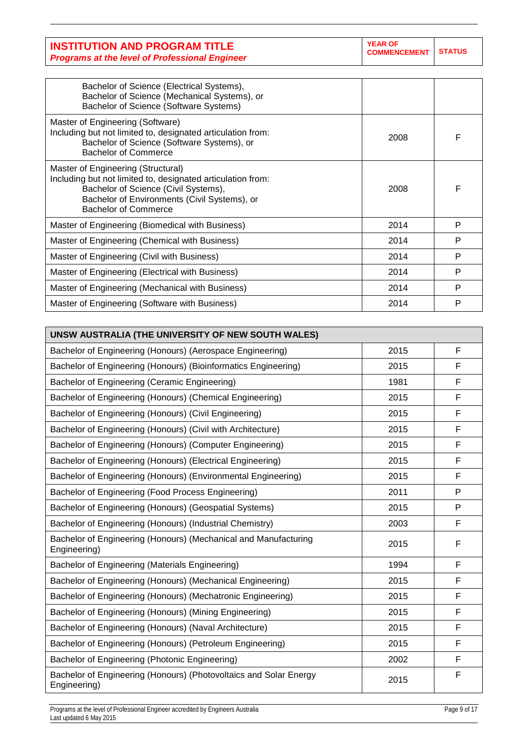| <b>INSTITUTION AND PROGRAM TITLE</b>                  | <b>YEAR OF</b><br>COMMENCEMENT STATUS |  |
|-------------------------------------------------------|---------------------------------------|--|
| <b>Programs at the level of Professional Engineer</b> |                                       |  |

| Bachelor of Science (Electrical Systems),<br>Bachelor of Science (Mechanical Systems), or<br>Bachelor of Science (Software Systems)                                                                                      |      |   |
|--------------------------------------------------------------------------------------------------------------------------------------------------------------------------------------------------------------------------|------|---|
| Master of Engineering (Software)<br>Including but not limited to, designated articulation from:<br>Bachelor of Science (Software Systems), or<br><b>Bachelor of Commerce</b>                                             | 2008 | F |
| Master of Engineering (Structural)<br>Including but not limited to, designated articulation from:<br>Bachelor of Science (Civil Systems),<br>Bachelor of Environments (Civil Systems), or<br><b>Bachelor of Commerce</b> | 2008 | F |
| Master of Engineering (Biomedical with Business)                                                                                                                                                                         | 2014 | P |
| Master of Engineering (Chemical with Business)                                                                                                                                                                           | 2014 | P |
| Master of Engineering (Civil with Business)                                                                                                                                                                              | 2014 | P |
| Master of Engineering (Electrical with Business)                                                                                                                                                                         | 2014 | P |
| Master of Engineering (Mechanical with Business)                                                                                                                                                                         | 2014 | P |
| Master of Engineering (Software with Business)                                                                                                                                                                           | 2014 | P |

| UNSW AUSTRALIA (THE UNIVERSITY OF NEW SOUTH WALES)                                |      |              |
|-----------------------------------------------------------------------------------|------|--------------|
| Bachelor of Engineering (Honours) (Aerospace Engineering)                         | 2015 | F            |
| Bachelor of Engineering (Honours) (Bioinformatics Engineering)                    | 2015 | F            |
| Bachelor of Engineering (Ceramic Engineering)                                     | 1981 | F            |
| Bachelor of Engineering (Honours) (Chemical Engineering)                          | 2015 | $\mathsf{F}$ |
| Bachelor of Engineering (Honours) (Civil Engineering)                             | 2015 | F            |
| Bachelor of Engineering (Honours) (Civil with Architecture)                       | 2015 | $\mathsf F$  |
| Bachelor of Engineering (Honours) (Computer Engineering)                          | 2015 | F            |
| Bachelor of Engineering (Honours) (Electrical Engineering)                        | 2015 | F            |
| Bachelor of Engineering (Honours) (Environmental Engineering)                     | 2015 | F            |
| Bachelor of Engineering (Food Process Engineering)                                | 2011 | P            |
| Bachelor of Engineering (Honours) (Geospatial Systems)                            | 2015 | P            |
| Bachelor of Engineering (Honours) (Industrial Chemistry)                          | 2003 | F            |
| Bachelor of Engineering (Honours) (Mechanical and Manufacturing<br>Engineering)   | 2015 | F            |
| Bachelor of Engineering (Materials Engineering)                                   | 1994 | F            |
| Bachelor of Engineering (Honours) (Mechanical Engineering)                        | 2015 | F            |
| Bachelor of Engineering (Honours) (Mechatronic Engineering)                       | 2015 | $\mathsf F$  |
| Bachelor of Engineering (Honours) (Mining Engineering)                            | 2015 | $\mathsf{F}$ |
| Bachelor of Engineering (Honours) (Naval Architecture)                            | 2015 | F            |
| Bachelor of Engineering (Honours) (Petroleum Engineering)                         | 2015 | $\mathsf{F}$ |
| Bachelor of Engineering (Photonic Engineering)                                    | 2002 | F            |
| Bachelor of Engineering (Honours) (Photovoltaics and Solar Energy<br>Engineering) | 2015 | F            |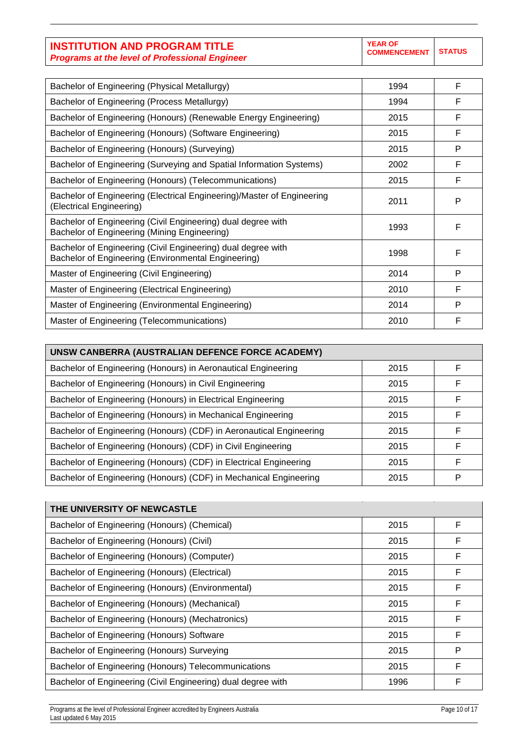| Bachelor of Engineering (Physical Metallurgy)                                                                       | 1994 | F |
|---------------------------------------------------------------------------------------------------------------------|------|---|
| Bachelor of Engineering (Process Metallurgy)                                                                        | 1994 | F |
| Bachelor of Engineering (Honours) (Renewable Energy Engineering)                                                    | 2015 | F |
| Bachelor of Engineering (Honours) (Software Engineering)                                                            | 2015 | F |
| Bachelor of Engineering (Honours) (Surveying)                                                                       | 2015 | P |
| Bachelor of Engineering (Surveying and Spatial Information Systems)                                                 | 2002 | F |
| Bachelor of Engineering (Honours) (Telecommunications)                                                              | 2015 | F |
| Bachelor of Engineering (Electrical Engineering)/Master of Engineering<br>(Electrical Engineering)                  | 2011 | P |
| Bachelor of Engineering (Civil Engineering) dual degree with<br>Bachelor of Engineering (Mining Engineering)        | 1993 | F |
| Bachelor of Engineering (Civil Engineering) dual degree with<br>Bachelor of Engineering (Environmental Engineering) | 1998 | F |
| Master of Engineering (Civil Engineering)                                                                           | 2014 | P |
| Master of Engineering (Electrical Engineering)                                                                      | 2010 | F |
| Master of Engineering (Environmental Engineering)                                                                   | 2014 | P |
| Master of Engineering (Telecommunications)                                                                          | 2010 | F |

| UNSW CANBERRA (AUSTRALIAN DEFENCE FORCE ACADEMY)                    |      |   |
|---------------------------------------------------------------------|------|---|
| Bachelor of Engineering (Honours) in Aeronautical Engineering       | 2015 | F |
| Bachelor of Engineering (Honours) in Civil Engineering              | 2015 | F |
| Bachelor of Engineering (Honours) in Electrical Engineering         | 2015 | F |
| Bachelor of Engineering (Honours) in Mechanical Engineering         | 2015 | F |
| Bachelor of Engineering (Honours) (CDF) in Aeronautical Engineering | 2015 | F |
| Bachelor of Engineering (Honours) (CDF) in Civil Engineering        | 2015 | F |
| Bachelor of Engineering (Honours) (CDF) in Electrical Engineering   | 2015 | F |
| Bachelor of Engineering (Honours) (CDF) in Mechanical Engineering   | 2015 | P |

| THE UNIVERSITY OF NEWCASTLE                                  |      |   |
|--------------------------------------------------------------|------|---|
| Bachelor of Engineering (Honours) (Chemical)                 | 2015 | F |
| Bachelor of Engineering (Honours) (Civil)                    | 2015 | F |
| Bachelor of Engineering (Honours) (Computer)                 | 2015 | F |
| Bachelor of Engineering (Honours) (Electrical)               | 2015 | F |
| Bachelor of Engineering (Honours) (Environmental)            | 2015 | F |
| Bachelor of Engineering (Honours) (Mechanical)               | 2015 | F |
| Bachelor of Engineering (Honours) (Mechatronics)             | 2015 | F |
| Bachelor of Engineering (Honours) Software                   | 2015 | F |
| Bachelor of Engineering (Honours) Surveying                  | 2015 | P |
| Bachelor of Engineering (Honours) Telecommunications         | 2015 | F |
| Bachelor of Engineering (Civil Engineering) dual degree with | 1996 | F |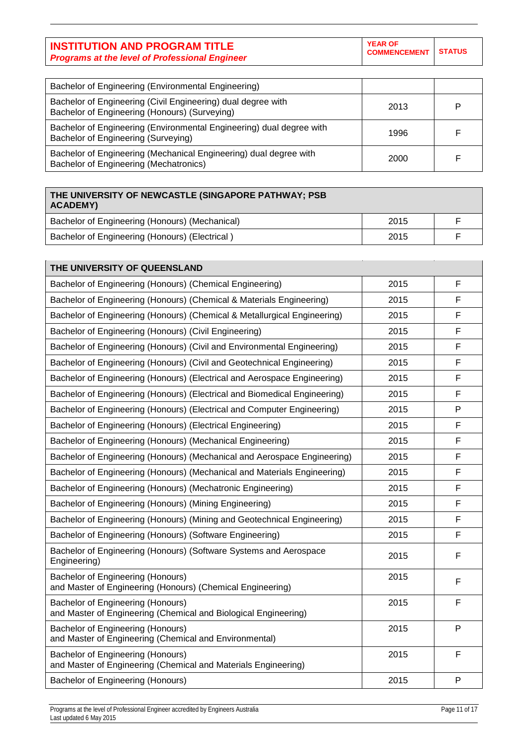| <b>INSTITUTION AND PROGRAM TITLE</b>                  | <b>YEAR OF</b><br>COMMENCEMENT STATUS |  |
|-------------------------------------------------------|---------------------------------------|--|
| <b>Programs at the level of Professional Engineer</b> |                                       |  |

| Bachelor of Engineering (Environmental Engineering)                                                           |      |   |
|---------------------------------------------------------------------------------------------------------------|------|---|
| Bachelor of Engineering (Civil Engineering) dual degree with<br>Bachelor of Engineering (Honours) (Surveying) | 2013 | P |
| Bachelor of Engineering (Environmental Engineering) dual degree with<br>Bachelor of Engineering (Surveying)   | 1996 |   |
| Bachelor of Engineering (Mechanical Engineering) dual degree with<br>Bachelor of Engineering (Mechatronics)   | 2000 |   |

| THE UNIVERSITY OF NEWCASTLE (SINGAPORE PATHWAY; PSB<br><b>ACADEMY)</b> |      |  |
|------------------------------------------------------------------------|------|--|
| Bachelor of Engineering (Honours) (Mechanical)                         | 2015 |  |
| Bachelor of Engineering (Honours) (Electrical)                         | 2015 |  |

| THE UNIVERSITY OF QUEENSLAND                                                                         |      |   |
|------------------------------------------------------------------------------------------------------|------|---|
| Bachelor of Engineering (Honours) (Chemical Engineering)                                             | 2015 | F |
| Bachelor of Engineering (Honours) (Chemical & Materials Engineering)                                 | 2015 | F |
| Bachelor of Engineering (Honours) (Chemical & Metallurgical Engineering)                             | 2015 | F |
| Bachelor of Engineering (Honours) (Civil Engineering)                                                | 2015 | F |
| Bachelor of Engineering (Honours) (Civil and Environmental Engineering)                              | 2015 | F |
| Bachelor of Engineering (Honours) (Civil and Geotechnical Engineering)                               | 2015 | F |
| Bachelor of Engineering (Honours) (Electrical and Aerospace Engineering)                             | 2015 | F |
| Bachelor of Engineering (Honours) (Electrical and Biomedical Engineering)                            | 2015 | F |
| Bachelor of Engineering (Honours) (Electrical and Computer Engineering)                              | 2015 | P |
| Bachelor of Engineering (Honours) (Electrical Engineering)                                           | 2015 | F |
| Bachelor of Engineering (Honours) (Mechanical Engineering)                                           | 2015 | F |
| Bachelor of Engineering (Honours) (Mechanical and Aerospace Engineering)                             | 2015 | F |
| Bachelor of Engineering (Honours) (Mechanical and Materials Engineering)                             | 2015 | F |
| Bachelor of Engineering (Honours) (Mechatronic Engineering)                                          | 2015 | F |
| Bachelor of Engineering (Honours) (Mining Engineering)                                               | 2015 | F |
| Bachelor of Engineering (Honours) (Mining and Geotechnical Engineering)                              | 2015 | F |
| Bachelor of Engineering (Honours) (Software Engineering)                                             | 2015 | F |
| Bachelor of Engineering (Honours) (Software Systems and Aerospace<br>Engineering)                    | 2015 | F |
| Bachelor of Engineering (Honours)<br>and Master of Engineering (Honours) (Chemical Engineering)      | 2015 | F |
| Bachelor of Engineering (Honours)<br>and Master of Engineering (Chemical and Biological Engineering) | 2015 | F |
| Bachelor of Engineering (Honours)<br>and Master of Engineering (Chemical and Environmental)          | 2015 | P |
| Bachelor of Engineering (Honours)<br>and Master of Engineering (Chemical and Materials Engineering)  | 2015 | F |
| Bachelor of Engineering (Honours)                                                                    | 2015 | P |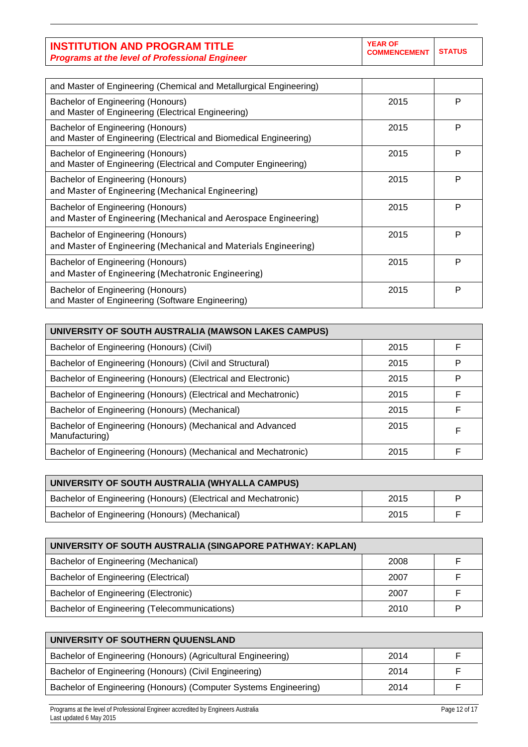**YEAR OF COMMENCEMENT STATUS**

| and Master of Engineering (Chemical and Metallurgical Engineering)                                     |      |   |
|--------------------------------------------------------------------------------------------------------|------|---|
| Bachelor of Engineering (Honours)<br>and Master of Engineering (Electrical Engineering)                | 2015 | P |
| Bachelor of Engineering (Honours)<br>and Master of Engineering (Electrical and Biomedical Engineering) | 2015 | P |
| Bachelor of Engineering (Honours)<br>and Master of Engineering (Electrical and Computer Engineering)   | 2015 | P |
| Bachelor of Engineering (Honours)<br>and Master of Engineering (Mechanical Engineering)                | 2015 | P |
| Bachelor of Engineering (Honours)<br>and Master of Engineering (Mechanical and Aerospace Engineering)  | 2015 | P |
| Bachelor of Engineering (Honours)<br>and Master of Engineering (Mechanical and Materials Engineering)  | 2015 | P |
| Bachelor of Engineering (Honours)<br>and Master of Engineering (Mechatronic Engineering)               | 2015 | P |
| Bachelor of Engineering (Honours)<br>and Master of Engineering (Software Engineering)                  | 2015 | P |

| UNIVERSITY OF SOUTH AUSTRALIA (MAWSON LAKES CAMPUS)                          |      |   |
|------------------------------------------------------------------------------|------|---|
| Bachelor of Engineering (Honours) (Civil)                                    | 2015 | F |
| Bachelor of Engineering (Honours) (Civil and Structural)                     | 2015 | P |
| Bachelor of Engineering (Honours) (Electrical and Electronic)                | 2015 | P |
| Bachelor of Engineering (Honours) (Electrical and Mechatronic)               | 2015 | F |
| Bachelor of Engineering (Honours) (Mechanical)                               | 2015 | F |
| Bachelor of Engineering (Honours) (Mechanical and Advanced<br>Manufacturing) | 2015 | F |
| Bachelor of Engineering (Honours) (Mechanical and Mechatronic)               | 2015 | F |

| UNIVERSITY OF SOUTH AUSTRALIA (WHYALLA CAMPUS)                 |      |   |
|----------------------------------------------------------------|------|---|
| Bachelor of Engineering (Honours) (Electrical and Mechatronic) | 2015 | D |
| Bachelor of Engineering (Honours) (Mechanical)                 | 2015 |   |

| UNIVERSITY OF SOUTH AUSTRALIA (SINGAPORE PATHWAY: KAPLAN) |      |  |
|-----------------------------------------------------------|------|--|
| Bachelor of Engineering (Mechanical)                      | 2008 |  |
| Bachelor of Engineering (Electrical)                      | 2007 |  |
| Bachelor of Engineering (Electronic)                      | 2007 |  |
| Bachelor of Engineering (Telecommunications)              | 2010 |  |

| UNIVERSITY OF SOUTHERN QUUENSLAND                                |      |  |
|------------------------------------------------------------------|------|--|
| Bachelor of Engineering (Honours) (Agricultural Engineering)     | 2014 |  |
| Bachelor of Engineering (Honours) (Civil Engineering)            | 2014 |  |
| Bachelor of Engineering (Honours) (Computer Systems Engineering) | 2014 |  |

Programs at the level of Professional Engineer accredited by Engineers Australia **Page 12 of 17** of 17 of 17 of 17 Last updated 6 May 2015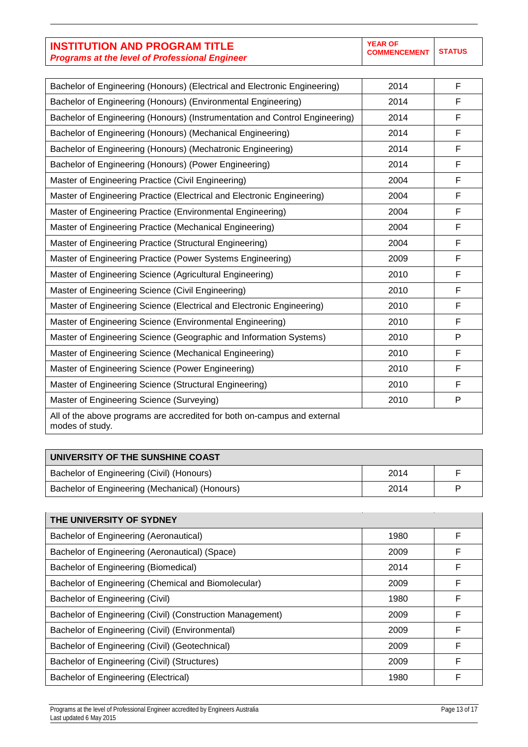| Bachelor of Engineering (Honours) (Electrical and Electronic Engineering)                   | 2014 | F |
|---------------------------------------------------------------------------------------------|------|---|
| Bachelor of Engineering (Honours) (Environmental Engineering)                               | 2014 | F |
| Bachelor of Engineering (Honours) (Instrumentation and Control Engineering)                 | 2014 | F |
| Bachelor of Engineering (Honours) (Mechanical Engineering)                                  | 2014 | F |
| Bachelor of Engineering (Honours) (Mechatronic Engineering)                                 | 2014 | F |
| Bachelor of Engineering (Honours) (Power Engineering)                                       | 2014 | F |
| Master of Engineering Practice (Civil Engineering)                                          | 2004 | F |
| Master of Engineering Practice (Electrical and Electronic Engineering)                      | 2004 | F |
| Master of Engineering Practice (Environmental Engineering)                                  | 2004 | F |
| Master of Engineering Practice (Mechanical Engineering)                                     | 2004 | F |
| Master of Engineering Practice (Structural Engineering)                                     | 2004 | F |
| Master of Engineering Practice (Power Systems Engineering)                                  | 2009 | F |
| Master of Engineering Science (Agricultural Engineering)                                    | 2010 | F |
| Master of Engineering Science (Civil Engineering)                                           | 2010 | F |
| Master of Engineering Science (Electrical and Electronic Engineering)                       | 2010 | F |
| Master of Engineering Science (Environmental Engineering)                                   | 2010 | F |
| Master of Engineering Science (Geographic and Information Systems)                          | 2010 | P |
| Master of Engineering Science (Mechanical Engineering)                                      | 2010 | F |
| Master of Engineering Science (Power Engineering)                                           | 2010 | F |
| Master of Engineering Science (Structural Engineering)                                      | 2010 | F |
| Master of Engineering Science (Surveying)                                                   | 2010 | P |
| All of the above programs are accredited for both on-campus and external<br>modes of study. |      |   |

| UNIVERSITY OF THE SUNSHINE COAST               |      |   |
|------------------------------------------------|------|---|
| Bachelor of Engineering (Civil) (Honours)      | 2014 |   |
| Bachelor of Engineering (Mechanical) (Honours) | 2014 | D |

| THE UNIVERSITY OF SYDNEY                                  |      |   |
|-----------------------------------------------------------|------|---|
| Bachelor of Engineering (Aeronautical)                    | 1980 | F |
| Bachelor of Engineering (Aeronautical) (Space)            | 2009 | F |
| Bachelor of Engineering (Biomedical)                      | 2014 | F |
| Bachelor of Engineering (Chemical and Biomolecular)       | 2009 | F |
| Bachelor of Engineering (Civil)                           | 1980 | F |
| Bachelor of Engineering (Civil) (Construction Management) | 2009 | F |
| Bachelor of Engineering (Civil) (Environmental)           | 2009 | F |
| Bachelor of Engineering (Civil) (Geotechnical)            | 2009 | F |
| Bachelor of Engineering (Civil) (Structures)              | 2009 | F |
| Bachelor of Engineering (Electrical)                      | 1980 | F |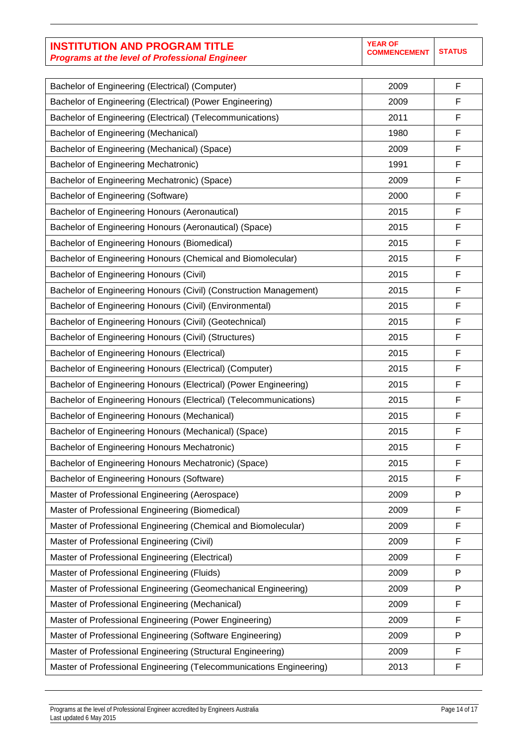| <b>INSTITUTION AND PROGRAM TITLE</b>                  |
|-------------------------------------------------------|
| <b>Programs at the level of Professional Engineer</b> |

| Bachelor of Engineering (Electrical) (Computer)                     | 2009 | F |
|---------------------------------------------------------------------|------|---|
| Bachelor of Engineering (Electrical) (Power Engineering)            | 2009 | F |
| Bachelor of Engineering (Electrical) (Telecommunications)           | 2011 | F |
| Bachelor of Engineering (Mechanical)                                | 1980 | F |
| Bachelor of Engineering (Mechanical) (Space)                        | 2009 | F |
| Bachelor of Engineering Mechatronic)                                | 1991 | F |
| Bachelor of Engineering Mechatronic) (Space)                        | 2009 | F |
| Bachelor of Engineering (Software)                                  | 2000 | F |
| Bachelor of Engineering Honours (Aeronautical)                      | 2015 | F |
| Bachelor of Engineering Honours (Aeronautical) (Space)              | 2015 | F |
| Bachelor of Engineering Honours (Biomedical)                        | 2015 | F |
| Bachelor of Engineering Honours (Chemical and Biomolecular)         | 2015 | F |
| Bachelor of Engineering Honours (Civil)                             | 2015 | F |
| Bachelor of Engineering Honours (Civil) (Construction Management)   | 2015 | F |
| Bachelor of Engineering Honours (Civil) (Environmental)             | 2015 | F |
| Bachelor of Engineering Honours (Civil) (Geotechnical)              | 2015 | F |
| Bachelor of Engineering Honours (Civil) (Structures)                | 2015 | F |
| Bachelor of Engineering Honours (Electrical)                        | 2015 | F |
| Bachelor of Engineering Honours (Electrical) (Computer)             | 2015 | F |
| Bachelor of Engineering Honours (Electrical) (Power Engineering)    | 2015 | F |
| Bachelor of Engineering Honours (Electrical) (Telecommunications)   | 2015 | F |
| Bachelor of Engineering Honours (Mechanical)                        | 2015 | F |
| Bachelor of Engineering Honours (Mechanical) (Space)                | 2015 | F |
| Bachelor of Engineering Honours Mechatronic)                        | 2015 | F |
| Bachelor of Engineering Honours Mechatronic) (Space)                | 2015 | F |
| Bachelor of Engineering Honours (Software)                          | 2015 | F |
| Master of Professional Engineering (Aerospace)                      | 2009 | P |
| Master of Professional Engineering (Biomedical)                     | 2009 | F |
| Master of Professional Engineering (Chemical and Biomolecular)      | 2009 | F |
| Master of Professional Engineering (Civil)                          | 2009 | F |
| Master of Professional Engineering (Electrical)                     | 2009 | F |
| Master of Professional Engineering (Fluids)                         | 2009 | P |
| Master of Professional Engineering (Geomechanical Engineering)      | 2009 | P |
| Master of Professional Engineering (Mechanical)                     | 2009 | F |
| Master of Professional Engineering (Power Engineering)              | 2009 | F |
| Master of Professional Engineering (Software Engineering)           | 2009 | P |
| Master of Professional Engineering (Structural Engineering)         | 2009 | F |
| Master of Professional Engineering (Telecommunications Engineering) | 2013 | F |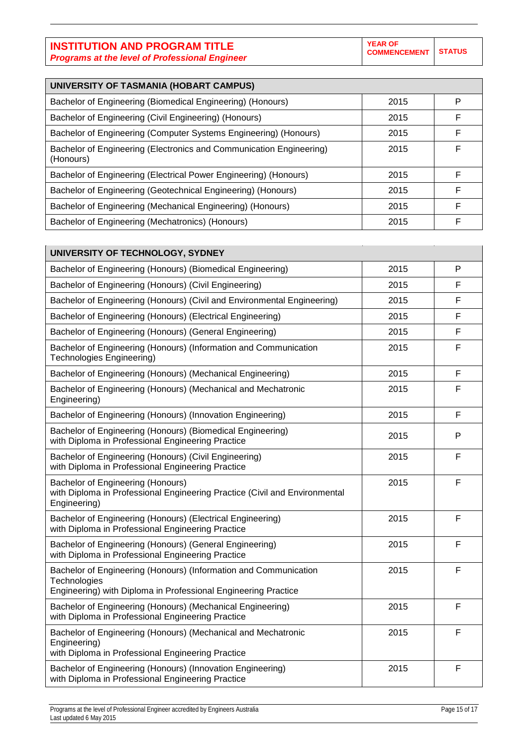| UNIVERSITY OF TASMANIA (HOBART CAMPUS)                                           |      |   |
|----------------------------------------------------------------------------------|------|---|
| Bachelor of Engineering (Biomedical Engineering) (Honours)                       | 2015 | P |
| Bachelor of Engineering (Civil Engineering) (Honours)                            | 2015 | F |
| Bachelor of Engineering (Computer Systems Engineering) (Honours)                 | 2015 | F |
| Bachelor of Engineering (Electronics and Communication Engineering)<br>(Honours) | 2015 | F |
| Bachelor of Engineering (Electrical Power Engineering) (Honours)                 | 2015 | F |
| Bachelor of Engineering (Geotechnical Engineering) (Honours)                     | 2015 | F |
| Bachelor of Engineering (Mechanical Engineering) (Honours)                       | 2015 | F |
| Bachelor of Engineering (Mechatronics) (Honours)                                 | 2015 | F |

| UNIVERSITY OF TECHNOLOGY, SYDNEY                                                                                                                   |      |   |
|----------------------------------------------------------------------------------------------------------------------------------------------------|------|---|
| Bachelor of Engineering (Honours) (Biomedical Engineering)                                                                                         | 2015 | P |
| Bachelor of Engineering (Honours) (Civil Engineering)                                                                                              | 2015 | F |
| Bachelor of Engineering (Honours) (Civil and Environmental Engineering)                                                                            | 2015 | F |
| Bachelor of Engineering (Honours) (Electrical Engineering)                                                                                         | 2015 | F |
| Bachelor of Engineering (Honours) (General Engineering)                                                                                            | 2015 | F |
| Bachelor of Engineering (Honours) (Information and Communication<br><b>Technologies Engineering)</b>                                               | 2015 | F |
| Bachelor of Engineering (Honours) (Mechanical Engineering)                                                                                         | 2015 | F |
| Bachelor of Engineering (Honours) (Mechanical and Mechatronic<br>Engineering)                                                                      | 2015 | F |
| Bachelor of Engineering (Honours) (Innovation Engineering)                                                                                         | 2015 | F |
| Bachelor of Engineering (Honours) (Biomedical Engineering)<br>with Diploma in Professional Engineering Practice                                    | 2015 | P |
| Bachelor of Engineering (Honours) (Civil Engineering)<br>with Diploma in Professional Engineering Practice                                         | 2015 | F |
| Bachelor of Engineering (Honours)<br>with Diploma in Professional Engineering Practice (Civil and Environmental<br>Engineering)                    | 2015 | F |
| Bachelor of Engineering (Honours) (Electrical Engineering)<br>with Diploma in Professional Engineering Practice                                    | 2015 | F |
| Bachelor of Engineering (Honours) (General Engineering)<br>with Diploma in Professional Engineering Practice                                       | 2015 | F |
| Bachelor of Engineering (Honours) (Information and Communication<br>Technologies<br>Engineering) with Diploma in Professional Engineering Practice | 2015 | F |
| Bachelor of Engineering (Honours) (Mechanical Engineering)<br>with Diploma in Professional Engineering Practice                                    | 2015 | F |
| Bachelor of Engineering (Honours) (Mechanical and Mechatronic<br>Engineering)<br>with Diploma in Professional Engineering Practice                 | 2015 | F |
| Bachelor of Engineering (Honours) (Innovation Engineering)<br>with Diploma in Professional Engineering Practice                                    | 2015 | F |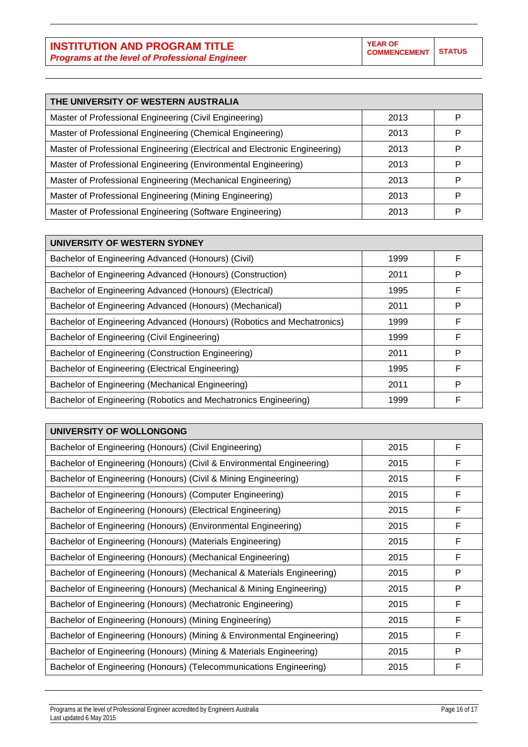| THE UNIVERSITY OF WESTERN AUSTRALIA                                        |      |   |
|----------------------------------------------------------------------------|------|---|
| Master of Professional Engineering (Civil Engineering)                     | 2013 | Р |
| Master of Professional Engineering (Chemical Engineering)                  | 2013 | Р |
| Master of Professional Engineering (Electrical and Electronic Engineering) | 2013 | P |
| Master of Professional Engineering (Environmental Engineering)             | 2013 | P |
| Master of Professional Engineering (Mechanical Engineering)                | 2013 | P |
| Master of Professional Engineering (Mining Engineering)                    | 2013 | Р |
| Master of Professional Engineering (Software Engineering)                  | 2013 | P |

| UNIVERSITY OF WESTERN SYDNEY                                           |      |   |
|------------------------------------------------------------------------|------|---|
| Bachelor of Engineering Advanced (Honours) (Civil)                     | 1999 | F |
| Bachelor of Engineering Advanced (Honours) (Construction)              | 2011 | P |
| Bachelor of Engineering Advanced (Honours) (Electrical)                | 1995 | F |
| Bachelor of Engineering Advanced (Honours) (Mechanical)                | 2011 | P |
| Bachelor of Engineering Advanced (Honours) (Robotics and Mechatronics) | 1999 | F |
| Bachelor of Engineering (Civil Engineering)                            | 1999 | F |
| Bachelor of Engineering (Construction Engineering)                     | 2011 | P |
| Bachelor of Engineering (Electrical Engineering)                       | 1995 | F |
| Bachelor of Engineering (Mechanical Engineering)                       | 2011 | P |
| Bachelor of Engineering (Robotics and Mechatronics Engineering)        | 1999 | F |

| UNIVERSITY OF WOLLONGONG                                               |      |              |
|------------------------------------------------------------------------|------|--------------|
| Bachelor of Engineering (Honours) (Civil Engineering)                  | 2015 | F            |
| Bachelor of Engineering (Honours) (Civil & Environmental Engineering)  | 2015 | F            |
| Bachelor of Engineering (Honours) (Civil & Mining Engineering)         | 2015 | F            |
| Bachelor of Engineering (Honours) (Computer Engineering)               | 2015 | F            |
| Bachelor of Engineering (Honours) (Electrical Engineering)             | 2015 | F            |
| Bachelor of Engineering (Honours) (Environmental Engineering)          | 2015 | $\mathsf{F}$ |
| Bachelor of Engineering (Honours) (Materials Engineering)              | 2015 | F            |
| Bachelor of Engineering (Honours) (Mechanical Engineering)             | 2015 | F            |
| Bachelor of Engineering (Honours) (Mechanical & Materials Engineering) | 2015 | P            |
| Bachelor of Engineering (Honours) (Mechanical & Mining Engineering)    | 2015 | P            |
| Bachelor of Engineering (Honours) (Mechatronic Engineering)            | 2015 | F            |
| Bachelor of Engineering (Honours) (Mining Engineering)                 | 2015 | F            |
| Bachelor of Engineering (Honours) (Mining & Environmental Engineering) | 2015 | F            |
| Bachelor of Engineering (Honours) (Mining & Materials Engineering)     | 2015 | P            |
| Bachelor of Engineering (Honours) (Telecommunications Engineering)     | 2015 | F            |